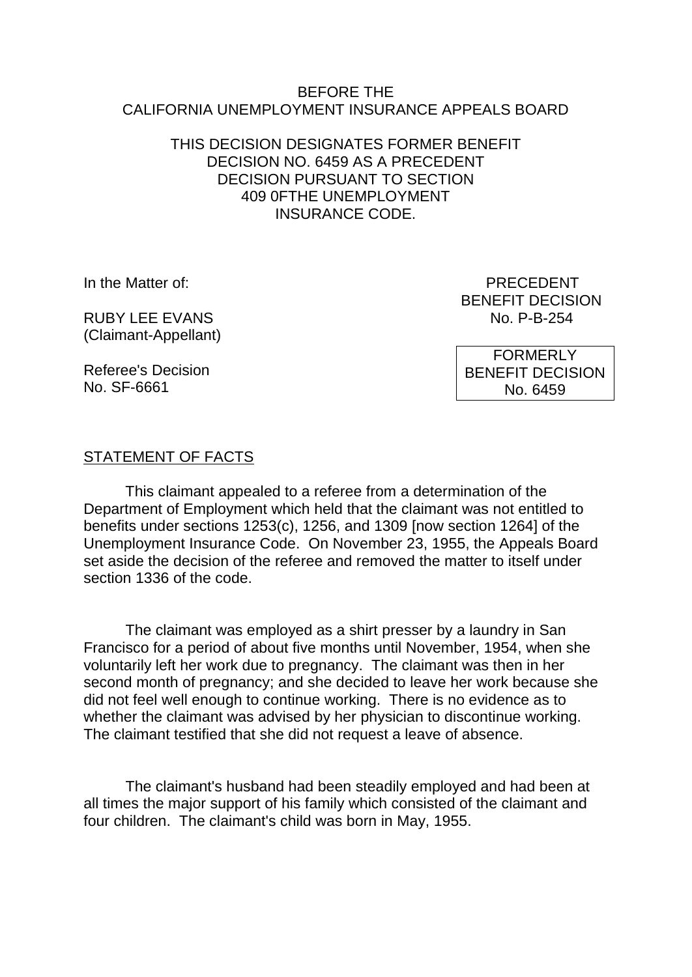### BEFORE THE CALIFORNIA UNEMPLOYMENT INSURANCE APPEALS BOARD

# THIS DECISION DESIGNATES FORMER BENEFIT DECISION NO. 6459 AS A PRECEDENT DECISION PURSUANT TO SECTION 409 0FTHE UNEMPLOYMENT INSURANCE CODE.

RUBY LEE EVANS (Claimant-Appellant)

Referee's Decision No. SF-6661

In the Matter of: PRECEDENT BENEFIT DECISION<br>No. P-B-254

> FORMERLY BENEFIT DECISION No. 6459

# STATEMENT OF FACTS

This claimant appealed to a referee from a determination of the Department of Employment which held that the claimant was not entitled to benefits under sections 1253(c), 1256, and 1309 [now section 1264] of the Unemployment Insurance Code. On November 23, 1955, the Appeals Board set aside the decision of the referee and removed the matter to itself under section 1336 of the code.

The claimant was employed as a shirt presser by a laundry in San Francisco for a period of about five months until November, 1954, when she voluntarily left her work due to pregnancy. The claimant was then in her second month of pregnancy; and she decided to leave her work because she did not feel well enough to continue working. There is no evidence as to whether the claimant was advised by her physician to discontinue working. The claimant testified that she did not request a leave of absence.

The claimant's husband had been steadily employed and had been at all times the major support of his family which consisted of the claimant and four children. The claimant's child was born in May, 1955.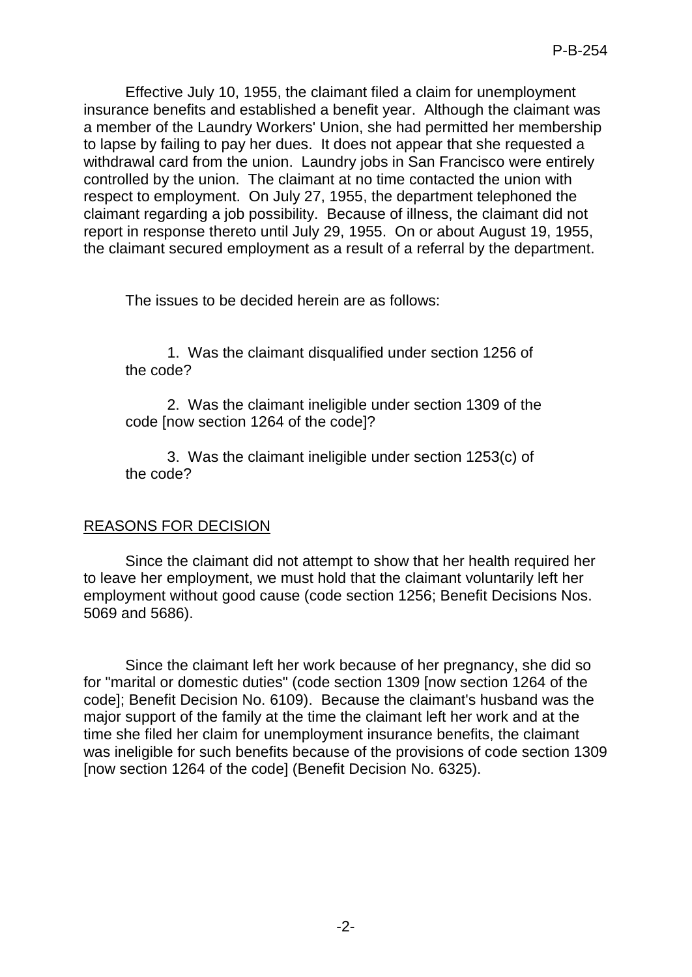Effective July 10, 1955, the claimant filed a claim for unemployment insurance benefits and established a benefit year. Although the claimant was a member of the Laundry Workers' Union, she had permitted her membership to lapse by failing to pay her dues. It does not appear that she requested a withdrawal card from the union. Laundry jobs in San Francisco were entirely controlled by the union. The claimant at no time contacted the union with respect to employment. On July 27, 1955, the department telephoned the claimant regarding a job possibility. Because of illness, the claimant did not report in response thereto until July 29, 1955. On or about August 19, 1955, the claimant secured employment as a result of a referral by the department.

The issues to be decided herein are as follows:

1. Was the claimant disqualified under section 1256 of the code?

2. Was the claimant ineligible under section 1309 of the code [now section 1264 of the code]?

3. Was the claimant ineligible under section 1253(c) of the code?

# REASONS FOR DECISION

Since the claimant did not attempt to show that her health required her to leave her employment, we must hold that the claimant voluntarily left her employment without good cause (code section 1256; Benefit Decisions Nos. 5069 and 5686).

Since the claimant left her work because of her pregnancy, she did so for "marital or domestic duties" (code section 1309 [now section 1264 of the code]; Benefit Decision No. 6109). Because the claimant's husband was the major support of the family at the time the claimant left her work and at the time she filed her claim for unemployment insurance benefits, the claimant was ineligible for such benefits because of the provisions of code section 1309 [now section 1264 of the code] (Benefit Decision No. 6325).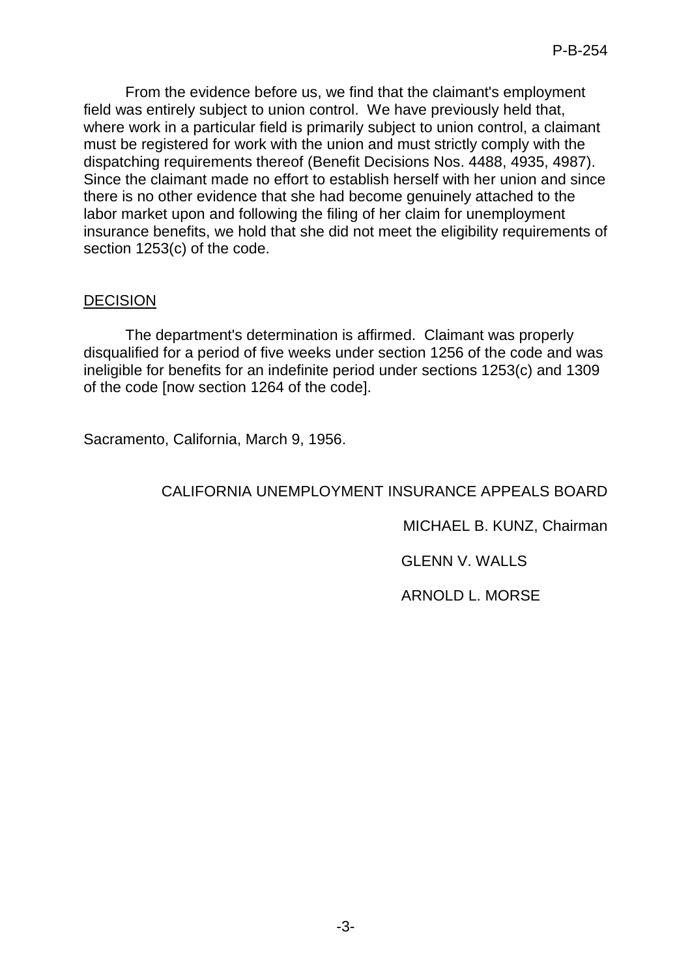From the evidence before us, we find that the claimant's employment field was entirely subject to union control. We have previously held that, where work in a particular field is primarily subject to union control, a claimant must be registered for work with the union and must strictly comply with the dispatching requirements thereof (Benefit Decisions Nos. 4488, 4935, 4987). Since the claimant made no effort to establish herself with her union and since there is no other evidence that she had become genuinely attached to the labor market upon and following the filing of her claim for unemployment insurance benefits, we hold that she did not meet the eligibility requirements of section 1253(c) of the code.

### DECISION

The department's determination is affirmed. Claimant was properly disqualified for a period of five weeks under section 1256 of the code and was ineligible for benefits for an indefinite period under sections 1253(c) and 1309 of the code [now section 1264 of the code].

Sacramento, California, March 9, 1956.

### CALIFORNIA UNEMPLOYMENT INSURANCE APPEALS BOARD

MICHAEL B. KUNZ, Chairman

GLENN V. WALLS

ARNOLD L. MORSE